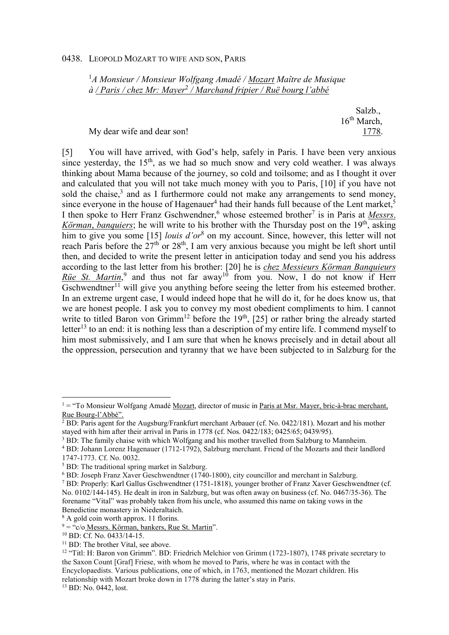## 0438. LEOPOLD MOZART TO WIFE AND SON, PARIS

<sup>1</sup>*A Monsieur / Monsieur Wolfgang Amadé / Mozart Maître de Musique à / Paris / chez Mr: Mayer*<sup>2</sup>  */ Marchand fripier / Ruë bourg l'abbé*

> Salzb., 16th March,

My dear wife and dear son! 1778.

[5] You will have arrived, with God's help, safely in Paris. I have been very anxious since yesterday, the  $15<sup>th</sup>$ , as we had so much snow and very cold weather. I was always thinking about Mama because of the journey, so cold and toilsome; and as I thought it over and calculated that you will not take much money with you to Paris, [10] if you have not sold the chaise, $3$  and as I furthermore could not make any arrangements to send money, since everyone in the house of Hagenauer<sup>4</sup> had their hands full because of the Lent market,<sup>5</sup> I then spoke to Herr Franz Gschwendner,<sup>6</sup> whose esteemed brother<sup>7</sup> is in Paris at *Messrs*. *Körman*, *banquiers*; he will write to his brother with the Thursday post on the 19<sup>th</sup>, asking him to give you some [15] *louis d'or*<sup>8</sup> on my account. Since, however, this letter will not reach Paris before the  $27<sup>th</sup>$  or  $28<sup>th</sup>$ , I am very anxious because you might be left short until then, and decided to write the present letter in anticipation today and send you his address according to the last letter from his brother: [20] he is *chez Messieurs Körman Banquieurs*  Rüe St. Martin,<sup>9</sup> and thus not far away<sup>10</sup> from you. Now, I do not know if Herr  $\overline{\text{Gschwendtner}^{\text{11}}}$  will give you anything before seeing the letter from his esteemed brother. In an extreme urgent case, I would indeed hope that he will do it, for he does know us, that we are honest people. I ask you to convey my most obedient compliments to him. I cannot write to titled Baron von Grimm<sup>12</sup> before the 19<sup>th</sup>, [25] or rather bring the already started letter<sup>13</sup> to an end: it is nothing less than a description of my entire life. I commend myself to him most submissively, and I am sure that when he knows precisely and in detail about all the oppression, persecution and tyranny that we have been subjected to in Salzburg for the

 $\overline{a}$ 

<sup>&</sup>lt;sup>1</sup> = "To Monsieur Wolfgang Amadé Mozart, director of music in Paris at Msr. Mayer, bric-à-brac merchant, Rue Bourg-l'Abbé".

<sup>&</sup>lt;sup>2</sup> BD: Paris agent for the Augsburg/Frankfurt merchant Arbauer (cf. No. 0422/181). Mozart and his mother stayed with him after their arrival in Paris in 1778 (cf. Nos. 0422/183; 0425/65; 0439/95).

<sup>&</sup>lt;sup>3</sup> BD: The family chaise with which Wolfgang and his mother travelled from Salzburg to Mannheim.

<sup>&</sup>lt;sup>4</sup> BD: Johann Lorenz Hagenauer (1712-1792), Salzburg merchant. Friend of the Mozarts and their landlord 1747-1773. Cf. No. 0032.

<sup>&</sup>lt;sup>5</sup> BD: The traditional spring market in Salzburg.

<sup>&</sup>lt;sup>6</sup> BD: Joseph Franz Xaver Geschwendtner (1740-1800), city councillor and merchant in Salzburg.

<sup>&</sup>lt;sup>7</sup> BD: Properly: Karl Gallus Gschwendtner (1751-1818), younger brother of Franz Xaver Geschwendtner (cf. No. 0102/144-145). He dealt in iron in Salzburg, but was often away on business (cf. No. 0467/35-36). The forename "Vital" was probably taken from his uncle, who assumed this name on taking vows in the Benedictine monastery in Niederaltaich.

<sup>8</sup> A gold coin worth approx. 11 florins.

 $9 =$  "c/o Messrs. Körman, bankers, Rue St. Martin".

<sup>10</sup> BD: Cf. No. 0433/14-15.

<sup>&</sup>lt;sup>11</sup> BD: The brother Vital, see above.

<sup>&</sup>lt;sup>12</sup> "Titl: H: Baron von Grimm". BD: Friedrich Melchior von Grimm (1723-1807), 1748 private secretary to the Saxon Count [Graf] Friese, with whom he moved to Paris, where he was in contact with the Encyclopaedists. Various publications, one of which, in 1763, mentioned the Mozart children. His relationship with Mozart broke down in 1778 during the latter's stay in Paris.

<sup>13</sup> BD: No. 0442, lost.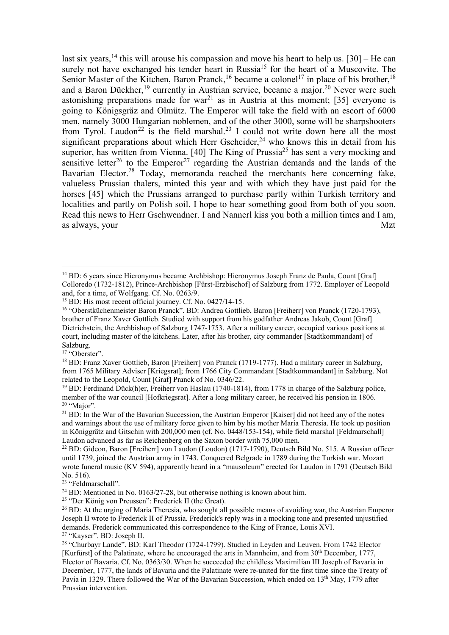last six years,<sup>14</sup> this will arouse his compassion and move his heart to help us.  $[30]$  – He can surely not have exchanged his tender heart in Russia<sup>15</sup> for the heart of a Muscovite. The Senior Master of the Kitchen, Baron Pranck,<sup>16</sup> became a colonel<sup>17</sup> in place of his brother,<sup>18</sup> and a Baron Dückher,<sup>19</sup> currently in Austrian service, became a major.<sup>20</sup> Never were such astonishing preparations made for war<sup>21</sup> as in Austria at this moment; [35] everyone is going to Königsgräz and Olmütz. The Emperor will take the field with an escort of 6000 men, namely 3000 Hungarian noblemen, and of the other 3000, some will be sharpshooters from Tyrol. Laudon<sup>22</sup> is the field marshal.<sup>23</sup> I could not write down here all the most significant preparations about which Herr Gscheider, <sup>24</sup> who knows this in detail from his superior, has written from Vienna. [40] The King of Prussia<sup>25</sup> has sent a very mocking and sensitive letter<sup>26</sup> to the Emperor<sup>27</sup> regarding the Austrian demands and the lands of the Bavarian Elector.<sup>28</sup> Today, memoranda reached the merchants here concerning fake, valueless Prussian thalers, minted this year and with which they have just paid for the horses [45] which the Prussians arranged to purchase partly within Turkish territory and localities and partly on Polish soil. I hope to hear something good from both of you soon. Read this news to Herr Gschwendner. I and Nannerl kiss you both a million times and I am, as always, your Mzt

<sup>25</sup> "Der König von Preussen": Frederick II (the Great).

 $\overline{a}$ <sup>14</sup> BD: 6 years since Hieronymus became Archbishop: Hieronymus Joseph Franz de Paula, Count [Graf] Colloredo (1732-1812), Prince-Archbishop [Fürst-Erzbischof] of Salzburg from 1772. Employer of Leopold and, for a time, of Wolfgang. Cf. No. 0263/9.

<sup>&</sup>lt;sup>15</sup> BD: His most recent official journey. Cf. No. 0427/14-15.

<sup>16</sup> "Oberstküchenmeister Baron Pranck". BD: Andrea Gottlieb, Baron [Freiherr] von Pranck (1720-1793), brother of Franz Xaver Gottlieb. Studied with support from his godfather Andreas Jakob, Count [Graf] Dietrichstein, the Archbishop of Salzburg 1747-1753. After a military career, occupied various positions at court, including master of the kitchens. Later, after his brother, city commander [Stadtkommandant] of Salzburg.

<sup>&</sup>lt;sup>17</sup> "Oberster".

<sup>18</sup> BD: Franz Xaver Gottlieb, Baron [Freiherr] von Pranck (1719-1777). Had a military career in Salzburg, from 1765 Military Adviser [Kriegsrat]; from 1766 City Commandant [Stadtkommandant] in Salzburg. Not related to the Leopold, Count [Graf] Pranck of No. 0346/22.

<sup>&</sup>lt;sup>19</sup> BD: Ferdinand Dück(h)er, Freiherr von Haslau (1740-1814), from 1778 in charge of the Salzburg police, member of the war council [Hofkriegsrat]. After a long military career, he received his pension in 1806. <sup>20</sup> "Major".

<sup>&</sup>lt;sup>21</sup> BD: In the War of the Bavarian Succession, the Austrian Emperor [Kaiser] did not heed any of the notes and warnings about the use of military force given to him by his mother Maria Theresia. He took up position in Königgrätz and Gitschin with 200,000 men (cf. No. 0448/153-154), while field marshal [Feldmarschall] Laudon advanced as far as Reichenberg on the Saxon border with 75,000 men.

<sup>&</sup>lt;sup>22</sup> BD: Gideon, Baron [Freiherr] von Laudon (Loudon) (1717-1790), Deutsch Bild No. 515. A Russian officer until 1739, joined the Austrian army in 1743. Conquered Belgrade in 1789 during the Turkish war. Mozart wrote funeral music (KV 594), apparently heard in a "mausoleum" erected for Laudon in 1791 (Deutsch Bild No. 516).

<sup>&</sup>lt;sup>23</sup> "Feldmarschall".

 $^{24}$  BD: Mentioned in No. 0163/27-28, but otherwise nothing is known about him.

<sup>&</sup>lt;sup>26</sup> BD: At the urging of Maria Theresia, who sought all possible means of avoiding war, the Austrian Emperor Joseph II wrote to Frederick II of Prussia. Frederick's reply was in a mocking tone and presented unjustified demands. Frederick communicated this correspondence to the King of France, Louis XVI. <sup>27</sup> "Kayser". BD: Joseph II.

<sup>28</sup> "Churbayr Lande". BD: Karl Theodor (1724-1799). Studied in Leyden and Leuven. From 1742 Elector [Kurfürst] of the Palatinate, where he encouraged the arts in Mannheim, and from  $30<sup>th</sup>$  December, 1777, Elector of Bavaria. Cf. No. 0363/30. When he succeeded the childless Maximilian III Joseph of Bavaria in December, 1777, the lands of Bavaria and the Palatinate were re-united for the first time since the Treaty of Pavia in 1329. There followed the War of the Bavarian Succession, which ended on 13<sup>th</sup> May, 1779 after Prussian intervention.